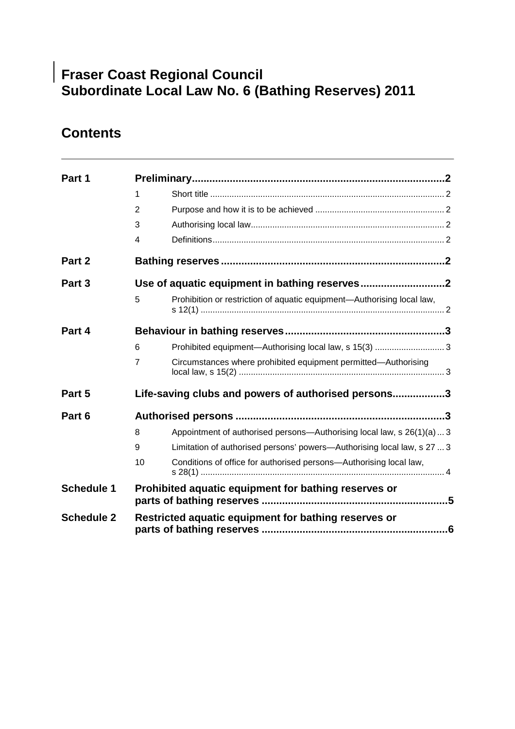# **Fraser Coast Regional Council Subordinate Local Law No. 6 (Bathing Reserves) 2011**

# **Contents**

| Part 1            |                                                      |                                                                         |  |  |
|-------------------|------------------------------------------------------|-------------------------------------------------------------------------|--|--|
|                   | 1                                                    |                                                                         |  |  |
|                   | 2                                                    |                                                                         |  |  |
|                   | 3                                                    |                                                                         |  |  |
|                   | 4                                                    |                                                                         |  |  |
| Part 2            |                                                      |                                                                         |  |  |
| Part 3            |                                                      |                                                                         |  |  |
|                   | 5                                                    | Prohibition or restriction of aquatic equipment-Authorising local law,  |  |  |
| Part 4            |                                                      |                                                                         |  |  |
|                   | 6                                                    | Prohibited equipment-Authorising local law, s 15(3)  3                  |  |  |
|                   | 7                                                    | Circumstances where prohibited equipment permitted-Authorising          |  |  |
| Part 5            | Life-saving clubs and powers of authorised persons3  |                                                                         |  |  |
| Part 6            |                                                      |                                                                         |  |  |
|                   | 8                                                    | Appointment of authorised persons—Authorising local law, s 26(1)(a)  3  |  |  |
|                   | 9                                                    | Limitation of authorised persons' powers—Authorising local law, s 27  3 |  |  |
|                   | 10                                                   | Conditions of office for authorised persons-Authorising local law,      |  |  |
| <b>Schedule 1</b> | Prohibited aquatic equipment for bathing reserves or |                                                                         |  |  |
| <b>Schedule 2</b> | Restricted aquatic equipment for bathing reserves or |                                                                         |  |  |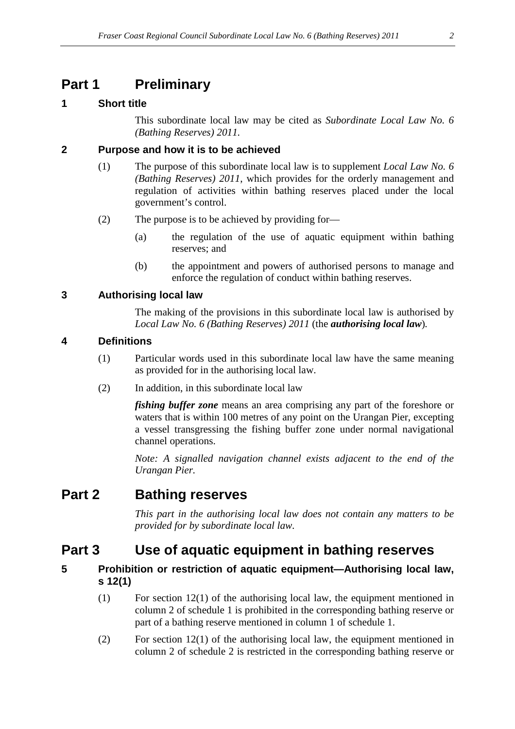### **Part 1 Preliminary**

### **1 Short title**

This subordinate local law may be cited as *Subordinate Local Law No. 6 (Bathing Reserves) 2011.*

#### **2 Purpose and how it is to be achieved**

- (1) The purpose of this subordinate local law is to supplement *Local Law No. 6 (Bathing Reserves) 2011*, which provides for the orderly management and regulation of activities within bathing reserves placed under the local government's control.
- (2) The purpose is to be achieved by providing for—
	- (a) the regulation of the use of aquatic equipment within bathing reserves; and
	- (b) the appointment and powers of authorised persons to manage and enforce the regulation of conduct within bathing reserves.

### **3 Authorising local law**

The making of the provisions in this subordinate local law is authorised by *Local Law No. 6 (Bathing Reserves) 2011* (the *authorising local law*)*.* 

#### **4 Definitions**

- (1) Particular words used in this subordinate local law have the same meaning as provided for in the authorising local law.
- (2) In addition, in this subordinate local law

*fishing buffer zone* means an area comprising any part of the foreshore or waters that is within 100 metres of any point on the Urangan Pier, excepting a vessel transgressing the fishing buffer zone under normal navigational channel operations.

*Note: A signalled navigation channel exists adjacent to the end of the Urangan Pier.*

### **Part 2 Bathing reserves**

*This part in the authorising local law does not contain any matters to be provided for by subordinate local law.* 

### **Part 3 Use of aquatic equipment in bathing reserves**

### **5 Prohibition or restriction of aquatic equipment—Authorising local law, s 12(1)**

- (1) For section 12(1) of the authorising local law, the equipment mentioned in column 2 of schedule 1 is prohibited in the corresponding bathing reserve or part of a bathing reserve mentioned in column 1 of schedule 1.
- (2) For section 12(1) of the authorising local law, the equipment mentioned in column 2 of schedule 2 is restricted in the corresponding bathing reserve or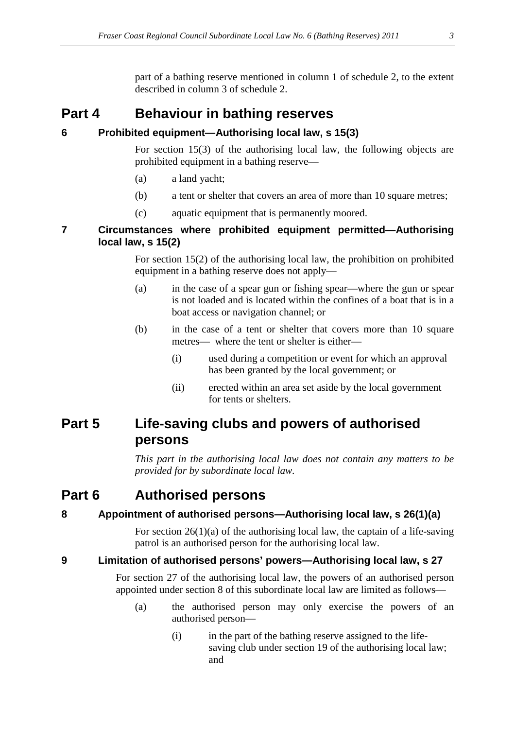part of a bathing reserve mentioned in column 1 of schedule 2, to the extent described in column 3 of schedule 2.

### **Part 4 Behaviour in bathing reserves**

#### **6 Prohibited equipment—Authorising local law, s 15(3)**

For section 15(3) of the authorising local law, the following objects are prohibited equipment in a bathing reserve—

- (a) a land yacht;
- (b) a tent or shelter that covers an area of more than 10 square metres;
- (c) aquatic equipment that is permanently moored.

#### **7 Circumstances where prohibited equipment permitted—Authorising local law, s 15(2)**

For section 15(2) of the authorising local law, the prohibition on prohibited equipment in a bathing reserve does not apply—

- (a) in the case of a spear gun or fishing spear—where the gun or spear is not loaded and is located within the confines of a boat that is in a boat access or navigation channel; or
- (b) in the case of a tent or shelter that covers more than 10 square metres— where the tent or shelter is either—
	- (i) used during a competition or event for which an approval has been granted by the local government; or
	- (ii) erected within an area set aside by the local government for tents or shelters.

### **Part 5 Life-saving clubs and powers of authorised persons**

*This part in the authorising local law does not contain any matters to be provided for by subordinate local law.* 

### **Part 6 Authorised persons**

### **8 Appointment of authorised persons—Authorising local law, s 26(1)(a)**

For section  $26(1)(a)$  of the authorising local law, the captain of a life-saving patrol is an authorised person for the authorising local law.

#### **9 Limitation of authorised persons' powers—Authorising local law, s 27**

For section 27 of the authorising local law, the powers of an authorised person appointed under section 8 of this subordinate local law are limited as follows—

- (a) the authorised person may only exercise the powers of an authorised person—
	- (i) in the part of the bathing reserve assigned to the lifesaving club under section 19 of the authorising local law; and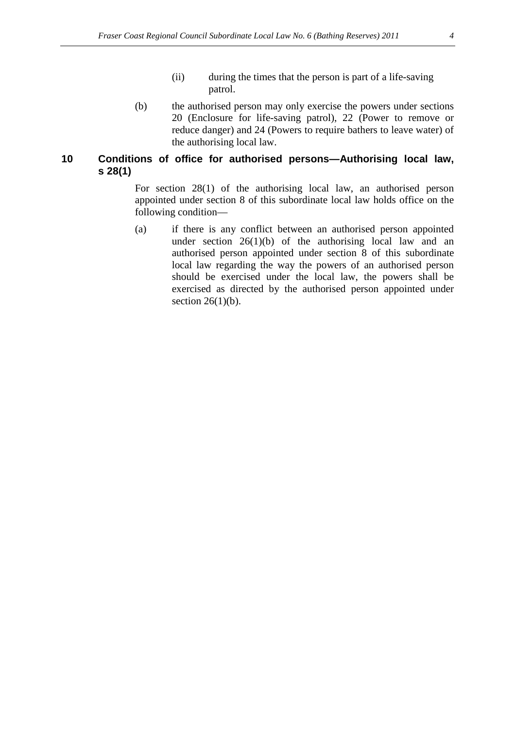- (ii) during the times that the person is part of a life-saving patrol.
- (b) the authorised person may only exercise the powers under sections 20 (Enclosure for life-saving patrol), 22 (Power to remove or reduce danger) and 24 (Powers to require bathers to leave water) of the authorising local law.

#### **10 Conditions of office for authorised persons—Authorising local law, s 28(1)**

For section 28(1) of the authorising local law, an authorised person appointed under section 8 of this subordinate local law holds office on the following condition—

(a) if there is any conflict between an authorised person appointed under section  $26(1)(b)$  of the authorising local law and an authorised person appointed under section 8 of this subordinate local law regarding the way the powers of an authorised person should be exercised under the local law, the powers shall be exercised as directed by the authorised person appointed under section  $26(1)(b)$ .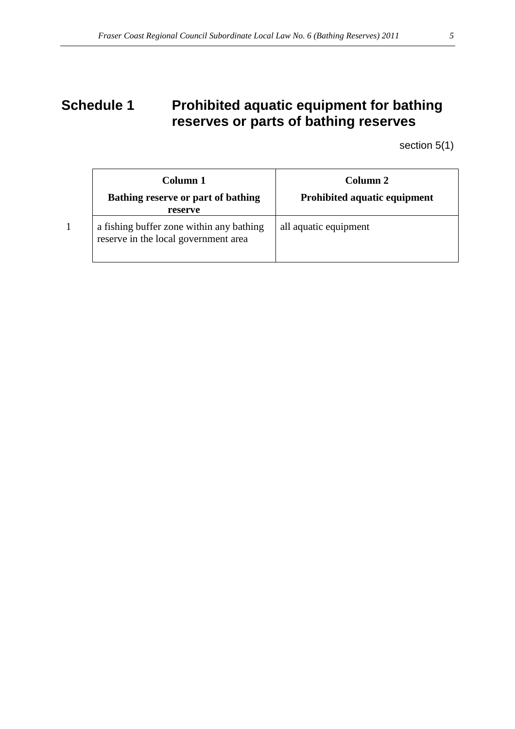# **Schedule 1** Prohibited aquatic equipment for bathing **reserves or parts of bathing reserves**

section 5(1)

| Column 1<br><b>Bathing reserve or part of bathing</b><br>reserve                 | Column <sub>2</sub><br><b>Prohibited aquatic equipment</b> |
|----------------------------------------------------------------------------------|------------------------------------------------------------|
| a fishing buffer zone within any bathing<br>reserve in the local government area | all aquatic equipment                                      |